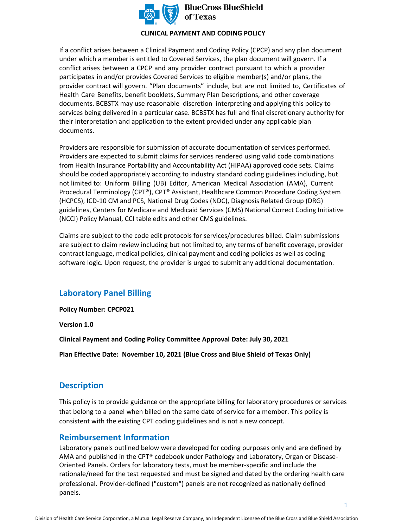

**BlueCross BlueShield** 

### **CLINICAL PAYMENT AND CODING POLICY**

If a conflict arises between a Clinical Payment and Coding Policy (CPCP) and any plan document under which a member is entitled to Covered Services, the plan document will govern. If a conflict arises between a CPCP and any provider contract pursuant to which a provider participates in and/or provides Covered Services to eligible member(s) and/or plans, the provider contract will govern. "Plan documents" include, but are not limited to, Certificates of Health Care Benefits, benefit booklets, Summary Plan Descriptions, and other coverage documents. BCBSTX may use reasonable discretion interpreting and applying this policy to services being delivered in a particular case. BCBSTX has full and final discretionary authority for their interpretation and application to the extent provided under any applicable plan documents.

Providers are responsible for submission of accurate documentation of services performed. Providers are expected to submit claims for services rendered using valid code combinations from Health Insurance Portability and Accountability Act (HIPAA) approved code sets. Claims should be coded appropriately according to industry standard coding guidelines including, but not limited to: Uniform Billing (UB) Editor, American Medical Association (AMA), Current Procedural Terminology (CPT®), CPT® Assistant, Healthcare Common Procedure Coding System (HCPCS), ICD-10 CM and PCS, National Drug Codes (NDC), Diagnosis Related Group (DRG) guidelines, Centers for Medicare and Medicaid Services (CMS) National Correct Coding Initiative (NCCI) Policy Manual, CCI table edits and other CMS guidelines.

Claims are subject to the code edit protocols for services/procedures billed. Claim submissions are subject to claim review including but not limited to, any terms of benefit coverage, provider contract language, medical policies, clinical payment and coding policies as well as coding software logic. Upon request, the provider is urged to submit any additional documentation.

### **Laboratory Panel Billing**

**Policy Number: CPCP021** 

**Version 1.0** 

**Clinical Payment and Coding Policy Committee Approval Date: July 30, 2021** 

**Plan Effective Date: November 10, 2021 (Blue Cross and Blue Shield of Texas Only)**

### **Description**

This policy is to provide guidance on the appropriate billing for laboratory procedures or services that belong to a panel when billed on the same date of service for a member. This policy is consistent with the existing CPT coding guidelines and is not a new concept.

### **Reimbursement Information**

Laboratory panels outlined below were developed for coding purposes only and are defined by AMA and published in the CPT® codebook under Pathology and Laboratory, Organ or Disease-Oriented Panels. Orders for laboratory tests, must be member-specific and include the rationale/need for the test requested and must be signed and dated by the ordering health care professional. Provider-defined ("custom") panels are not recognized as nationally defined panels.

1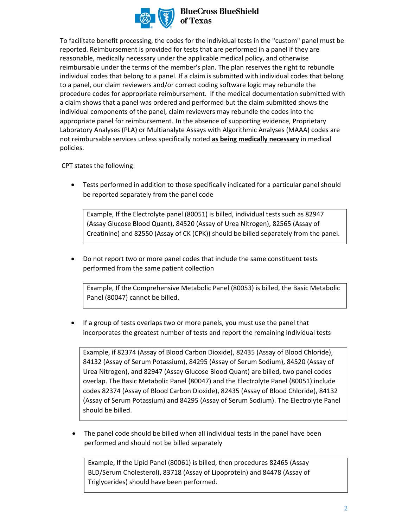

### **BlueCross BlueShield**

To facilitate benefit processing, the codes for the individual tests in the "custom" panel must be reported. Reimbursement is provided for tests that are performed in a panel if they are reasonable, medically necessary under the applicable medical policy, and otherwise reimbursable under the terms of the member's plan. The plan reserves the right to rebundle individual codes that belong to a panel. If a claim is submitted with individual codes that belong to a panel, our claim reviewers and/or correct coding software logic may rebundle the procedure codes for appropriate reimbursement. If the medical documentation submitted with a claim shows that a panel was ordered and performed but the claim submitted shows the individual components of the panel, claim reviewers may rebundle the codes into the appropriate panel for reimbursement. In the absence of supporting evidence, Proprietary Laboratory Analyses (PLA) or Multianalyte Assays with Algorithmic Analyses (MAAA) codes are not reimbursable services unless specifically noted **as being medically necessary** in medical policies.

CPT states the following:

• Tests performed in addition to those specifically indicated for a particular panel should be reported separately from the panel code

Example, If the Electrolyte panel (80051) is billed, individual tests such as 82947 (Assay Glucose Blood Quant), 84520 (Assay of Urea Nitrogen), 82565 (Assay of Creatinine) and 82550 (Assay of CK (CPK)) should be billed separately from the panel.

• Do not report two or more panel codes that include the same constituent tests performed from the same patient collection

Example, If the Comprehensive Metabolic Panel (80053) is billed, the Basic Metabolic Panel (80047) cannot be billed.

• If a group of tests overlaps two or more panels, you must use the panel that incorporates the greatest number of tests and report the remaining individual tests

Example, if 82374 (Assay of Blood Carbon Dioxide), 82435 (Assay of Blood Chloride), 84132 (Assay of Serum Potassium), 84295 (Assay of Serum Sodium), 84520 (Assay of Urea Nitrogen), and 82947 (Assay Glucose Blood Quant) are billed, two panel codes overlap. The Basic Metabolic Panel (80047) and the Electrolyte Panel (80051) include codes 82374 (Assay of Blood Carbon Dioxide), 82435 (Assay of Blood Chloride), 84132 (Assay of Serum Potassium) and 84295 (Assay of Serum Sodium). The Electrolyte Panel should be billed.

• The panel code should be billed when all individual tests in the panel have been performed and should not be billed separately

Example, If the Lipid Panel (80061) is billed, then procedures 82465 (Assay BLD/Serum Cholesterol), 83718 (Assay of Lipoprotein) and 84478 (Assay of Triglycerides) should have been performed.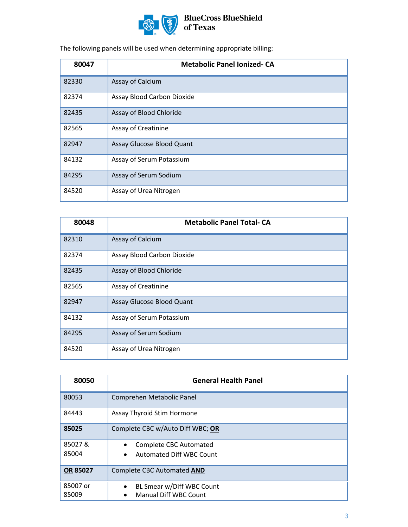

The following panels will be used when determining appropriate billing:

| 80047 | <b>Metabolic Panel Ionized-CA</b> |
|-------|-----------------------------------|
| 82330 | Assay of Calcium                  |
| 82374 | Assay Blood Carbon Dioxide        |
| 82435 | Assay of Blood Chloride           |
| 82565 | Assay of Creatinine               |
| 82947 | Assay Glucose Blood Quant         |
| 84132 | Assay of Serum Potassium          |
| 84295 | Assay of Serum Sodium             |
| 84520 | Assay of Urea Nitrogen            |

| 80048 | <b>Metabolic Panel Total-CA</b> |
|-------|---------------------------------|
| 82310 | Assay of Calcium                |
| 82374 | Assay Blood Carbon Dioxide      |
| 82435 | Assay of Blood Chloride         |
| 82565 | Assay of Creatinine             |
| 82947 | Assay Glucose Blood Quant       |
| 84132 | Assay of Serum Potassium        |
| 84295 | Assay of Serum Sodium           |
| 84520 | Assay of Urea Nitrogen          |

| 80050    | <b>General Health Panel</b>                  |  |
|----------|----------------------------------------------|--|
| 80053    | Comprehen Metabolic Panel                    |  |
| 84443    | Assay Thyroid Stim Hormone                   |  |
| 85025    | Complete CBC w/Auto Diff WBC; OR             |  |
| 85027&   | <b>Complete CBC Automated</b>                |  |
| 85004    | <b>Automated Diff WBC Count</b><br>$\bullet$ |  |
| OR 85027 | Complete CBC Automated AND                   |  |
| 85007 or | BL Smear w/Diff WBC Count<br>$\bullet$       |  |
| 85009    | Manual Diff WBC Count<br>$\bullet$           |  |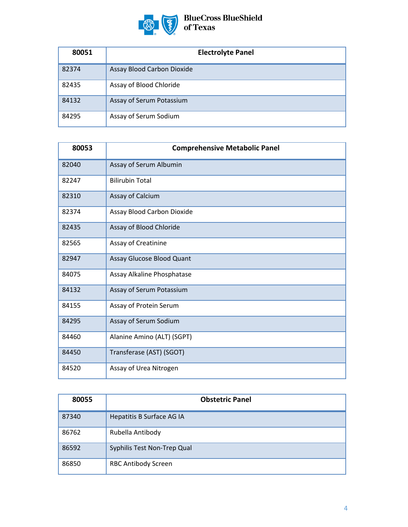

| 80051 | <b>Electrolyte Panel</b>   |
|-------|----------------------------|
| 82374 | Assay Blood Carbon Dioxide |
| 82435 | Assay of Blood Chloride    |
| 84132 | Assay of Serum Potassium   |
| 84295 | Assay of Serum Sodium      |

| 80053 | <b>Comprehensive Metabolic Panel</b> |
|-------|--------------------------------------|
| 82040 | Assay of Serum Albumin               |
| 82247 | <b>Bilirubin Total</b>               |
| 82310 | Assay of Calcium                     |
| 82374 | Assay Blood Carbon Dioxide           |
| 82435 | Assay of Blood Chloride              |
| 82565 | Assay of Creatinine                  |
| 82947 | Assay Glucose Blood Quant            |
| 84075 | Assay Alkaline Phosphatase           |
| 84132 | Assay of Serum Potassium             |
| 84155 | Assay of Protein Serum               |
| 84295 | Assay of Serum Sodium                |
| 84460 | Alanine Amino (ALT) (SGPT)           |
| 84450 | Transferase (AST) (SGOT)             |
| 84520 | Assay of Urea Nitrogen               |

| 80055 | <b>Obstetric Panel</b>      |
|-------|-----------------------------|
| 87340 | Hepatitis B Surface AG IA   |
| 86762 | Rubella Antibody            |
| 86592 | Syphilis Test Non-Trep Qual |
| 86850 | <b>RBC Antibody Screen</b>  |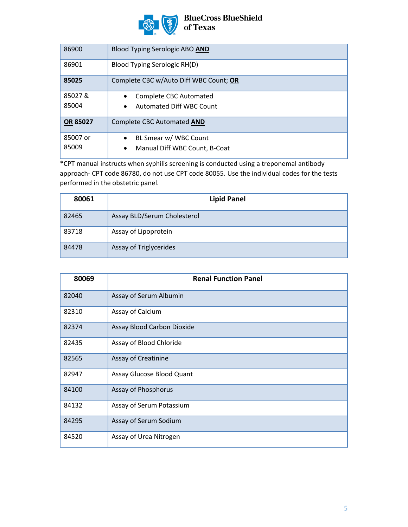

## BlueCross BlueShield<br>of Texas

| 86900             | Blood Typing Serologic ABO AND                                                   |
|-------------------|----------------------------------------------------------------------------------|
| 86901             | Blood Typing Serologic RH(D)                                                     |
| 85025             | Complete CBC w/Auto Diff WBC Count; OR                                           |
| 85027&<br>85004   | <b>Complete CBC Automated</b><br>Automated Diff WBC Count<br>$\bullet$           |
| <b>OR 85027</b>   | Complete CBC Automated AND                                                       |
| 85007 or<br>85009 | BL Smear w/ WBC Count<br>$\bullet$<br>Manual Diff WBC Count, B-Coat<br>$\bullet$ |

\*CPT manual instructs when syphilis screening is conducted using a treponemal antibody approach- CPT code 86780, do not use CPT code 80055. Use the individual codes for the tests performed in the obstetric panel.

| 80061 | <b>Lipid Panel</b>          |
|-------|-----------------------------|
| 82465 | Assay BLD/Serum Cholesterol |
| 83718 | Assay of Lipoprotein        |
| 84478 | Assay of Triglycerides      |

| 80069 | <b>Renal Function Panel</b> |
|-------|-----------------------------|
| 82040 | Assay of Serum Albumin      |
| 82310 | Assay of Calcium            |
| 82374 | Assay Blood Carbon Dioxide  |
| 82435 | Assay of Blood Chloride     |
| 82565 | Assay of Creatinine         |
| 82947 | Assay Glucose Blood Quant   |
| 84100 | Assay of Phosphorus         |
| 84132 | Assay of Serum Potassium    |
| 84295 | Assay of Serum Sodium       |
| 84520 | Assay of Urea Nitrogen      |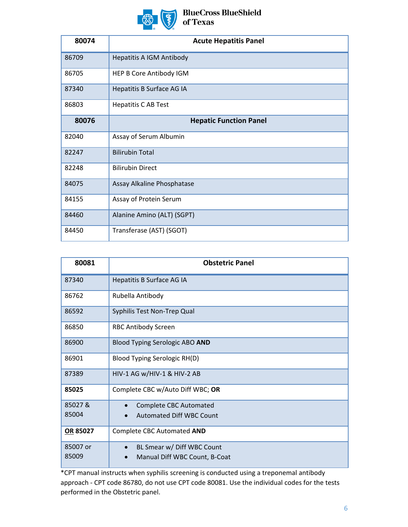

# **BlueCross BlueShield<br>of Texas**

| 80074 | <b>Acute Hepatitis Panel</b>    |
|-------|---------------------------------|
| 86709 | <b>Hepatitis A IGM Antibody</b> |
| 86705 | HEP B Core Antibody IGM         |
| 87340 | Hepatitis B Surface AG IA       |
| 86803 | <b>Hepatitis C AB Test</b>      |
| 80076 | <b>Hepatic Function Panel</b>   |
| 82040 | Assay of Serum Albumin          |
| 82247 | <b>Bilirubin Total</b>          |
| 82248 | <b>Bilirubin Direct</b>         |
| 84075 | Assay Alkaline Phosphatase      |
| 84155 | Assay of Protein Serum          |
| 84460 | Alanine Amino (ALT) (SGPT)      |
| 84450 | Transferase (AST) (SGOT)        |

| 80081    | <b>Obstetric Panel</b>                  |
|----------|-----------------------------------------|
| 87340    | Hepatitis B Surface AG IA               |
| 86762    | Rubella Antibody                        |
| 86592    | Syphilis Test Non-Trep Qual             |
| 86850    | <b>RBC Antibody Screen</b>              |
| 86900    | Blood Typing Serologic ABO AND          |
| 86901    | Blood Typing Serologic RH(D)            |
| 87389    | HIV-1 AG w/HIV-1 & HIV-2 AB             |
| 85025    | Complete CBC w/Auto Diff WBC; OR        |
| 85027&   | <b>Complete CBC Automated</b>           |
| 85004    | <b>Automated Diff WBC Count</b>         |
| OR 85027 | Complete CBC Automated AND              |
| 85007 or | BL Smear w/ Diff WBC Count<br>$\bullet$ |
| 85009    | Manual Diff WBC Count, B-Coat           |

\*CPT manual instructs when syphilis screening is conducted using a treponemal antibody approach - CPT code 86780, do not use CPT code 80081. Use the individual codes for the tests performed in the Obstetric panel.